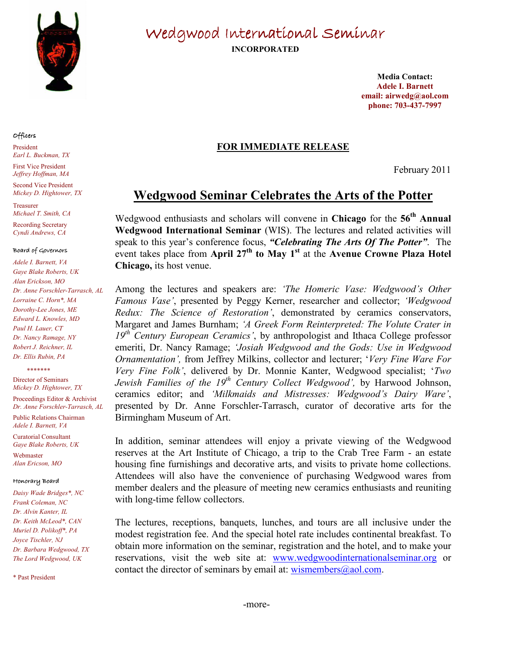

### Officers

President Earl L. Buckman, TX First Vice President Jeffrey Hoffman, MA

Second Vice President Mickey D. Hightower, TX

Treasurer Michael T. Smith, CA

Recording Secretary Cyndi Andrews, CA

#### Board of Governors

Adele I. Barnett, VA Gaye Blake Roberts, UK Alan Erickson, MO Dr. Anne Forschler-Tarrasch, AL Lorraine C. Horn\*, MA Dorothy-Lee Jones, ME Edward L. Knowles, MD Paul H. Lauer, CT Dr. Nancy Ramage, NY Robert J. Reichner, IL Dr. Ellis Rubin, PA

\*\*\*\*\*\*

Director of Seminars Mickey D. Hightower, TX

Proceedings Editor & Archivist Dr. Anne Forschler-Tarrasch, AL

Public Relations Chairman Adele I. Barnett, VA

Curatorial Consultant Gaye Blake Roberts, UK

Webmaster Alan Ericson, MO

#### Honorary Board

Daisy Wade Bridges\*, NC Frank Coleman, NC Dr. Alvin Kanter, IL Dr. Keith McLeod\*, CAN Muriel D. Polikoff\*, PA Joyce Tischler, NJ Dr. Barbara Wedgwood, TX The Lord Wedgwood, UK

\* Past President

Wedgwood International Seminar

INCORPORATED

Media Contact: Adele I. Barnett email: airwedg@aol.com phone: 703-437-7997

## FOR IMMEDIATE RELEASE

February 2011

# Wedgwood Seminar Celebrates the Arts of the Potter

Wedgwood enthusiasts and scholars will convene in Chicago for the 56<sup>th</sup> Annual Wedgwood International Seminar (WIS). The lectures and related activities will speak to this year's conference focus, "Celebrating The Arts Of The Potter". The event takes place from April  $27<sup>th</sup>$  to May 1<sup>st</sup> at the Avenue Crowne Plaza Hotel Chicago, its host venue.

Among the lectures and speakers are: 'The Homeric Vase: Wedgwood's Other Famous Vase', presented by Peggy Kerner, researcher and collector; 'Wedgwood Redux: The Science of Restoration', demonstrated by ceramics conservators, Margaret and James Burnham; 'A Greek Form Reinterpreted: The Volute Crater in  $19<sup>th</sup>$  Century European Ceramics', by anthropologist and Ithaca College professor emeriti, Dr. Nancy Ramage; 'Josiah Wedgwood and the Gods: Use in Wedgwood Ornamentation', from Jeffrey Milkins, collector and lecturer; 'Very Fine Ware For Very Fine Folk', delivered by Dr. Monnie Kanter, Wedgwood specialist; 'Two Jewish Families of the  $19^{th}$  Century Collect Wedgwood', by Harwood Johnson, ceramics editor; and 'Milkmaids and Mistresses: Wedgwood's Dairy Ware', presented by Dr. Anne Forschler-Tarrasch, curator of decorative arts for the Birmingham Museum of Art.

In addition, seminar attendees will enjoy a private viewing of the Wedgwood reserves at the Art Institute of Chicago, a trip to the Crab Tree Farm - an estate housing fine furnishings and decorative arts, and visits to private home collections. Attendees will also have the convenience of purchasing Wedgwood wares from member dealers and the pleasure of meeting new ceramics enthusiasts and reuniting with long-time fellow collectors.

The lectures, receptions, banquets, lunches, and tours are all inclusive under the modest registration fee. And the special hotel rate includes continental breakfast. To obtain more information on the seminar, registration and the hotel, and to make your reservations, visit the web site at: www.wedgwoodinternationalseminar.org or contact the director of seminars by email at:  $w$  is members  $\omega$  aol.com.